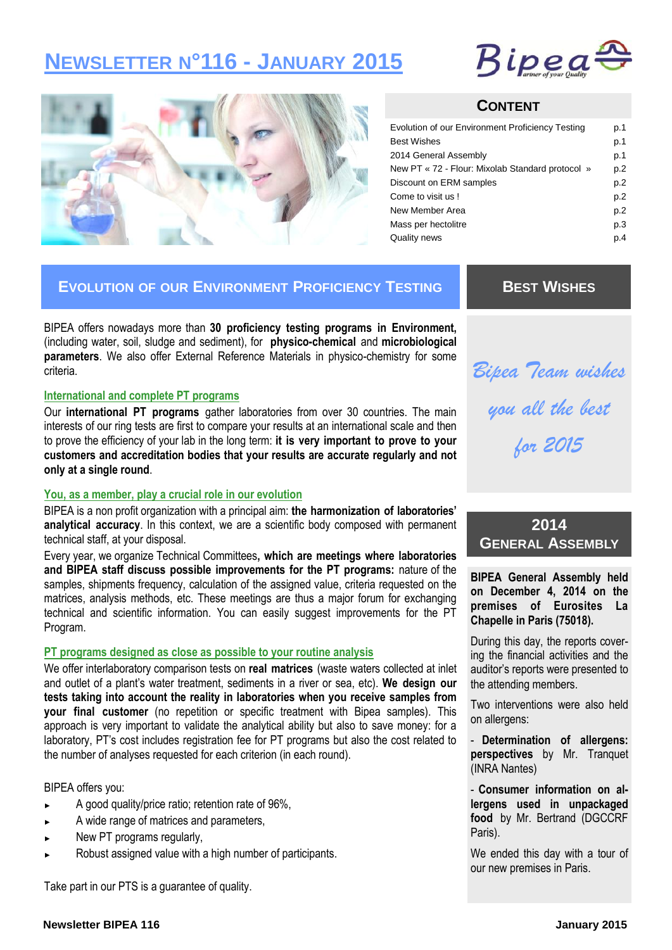# **NEWSLETTER N°116 - JANUARY 2015**





### **CONTENT**

| <b>Best Wishes</b><br>2014 General Assembly<br>New PT « 72 - Flour: Mixolab Standard protocol »<br>Discount on ERM samples<br>Come to visit us!<br>New Member Area<br>Mass per hectolitre<br>Quality news | Evolution of our Environment Proficiency Testing | p.1 |
|-----------------------------------------------------------------------------------------------------------------------------------------------------------------------------------------------------------|--------------------------------------------------|-----|
|                                                                                                                                                                                                           |                                                  | p.1 |
|                                                                                                                                                                                                           |                                                  | p.1 |
|                                                                                                                                                                                                           |                                                  | p.2 |
|                                                                                                                                                                                                           |                                                  | p.2 |
|                                                                                                                                                                                                           |                                                  | p.2 |
|                                                                                                                                                                                                           |                                                  | p.2 |
|                                                                                                                                                                                                           |                                                  | p.3 |
|                                                                                                                                                                                                           |                                                  | p.4 |

# **EVOLUTION OF OUR ENVIRONMENT PROFICIENCY TESTING**

BIPEA offers nowadays more than **30 proficiency testing programs in Environment,**  (including water, soil, sludge and sediment), for **physico-chemical** and **microbiological parameters**. We also offer External Reference Materials in physico-chemistry for some criteria.

#### **International and complete PT programs**

Our **international PT programs** gather laboratories from over 30 countries. The main interests of our ring tests are first to compare your results at an international scale and then to prove the efficiency of your lab in the long term: **it is very important to prove to your customers and accreditation bodies that your results are accurate regularly and not only at a single round**.

#### **You, as a member, play a crucial role in our evolution**

BIPEA is a non profit organization with a principal aim: **the harmonization of laboratories' analytical accuracy**. In this context, we are a scientific body composed with permanent technical staff, at your disposal.

Every year, we organize Technical Committees**, which are meetings where laboratories and BIPEA staff discuss possible improvements for the PT programs:** nature of the samples, shipments frequency, calculation of the assigned value, criteria requested on the matrices, analysis methods, etc. These meetings are thus a major forum for exchanging technical and scientific information. You can easily suggest improvements for the PT Program.

#### **PT programs designed as close as possible to your routine analysis**

We offer interlaboratory comparison tests on **real matrices** (waste waters collected at inlet and outlet of a plant's water treatment, sediments in a river or sea, etc). **We design our tests taking into account the reality in laboratories when you receive samples from your final customer** (no repetition or specific treatment with Bipea samples). This approach is very important to validate the analytical ability but also to save money: for a laboratory, PT's cost includes registration fee for PT programs but also the cost related to the number of analyses requested for each criterion (in each round).

#### BIPEA offers you:

- ► A good quality/price ratio; retention rate of 96%,
- A wide range of matrices and parameters,
- New PT programs regularly,
- Robust assigned value with a high number of participants.

Take part in our PTS is a guarantee of quality.

# **BEST WISHES**

*Bipea Team wishes you all the best for 2015* 

# **2014 GENERAL ASSEMBLY**

**BIPEA General Assembly held on December 4, 2014 on the premises of Eurosites La Chapelle in Paris (75018).** 

During this day, the reports covering the financial activities and the auditor's reports were presented to the attending members.

Two interventions were also held on allergens:

- **Determination of allergens: perspectives** by Mr. Tranquet (INRA Nantes)

- **Consumer information on allergens used in unpackaged food** by Mr. Bertrand (DGCCRF Paris).

We ended this day with a tour of our new premises in Paris.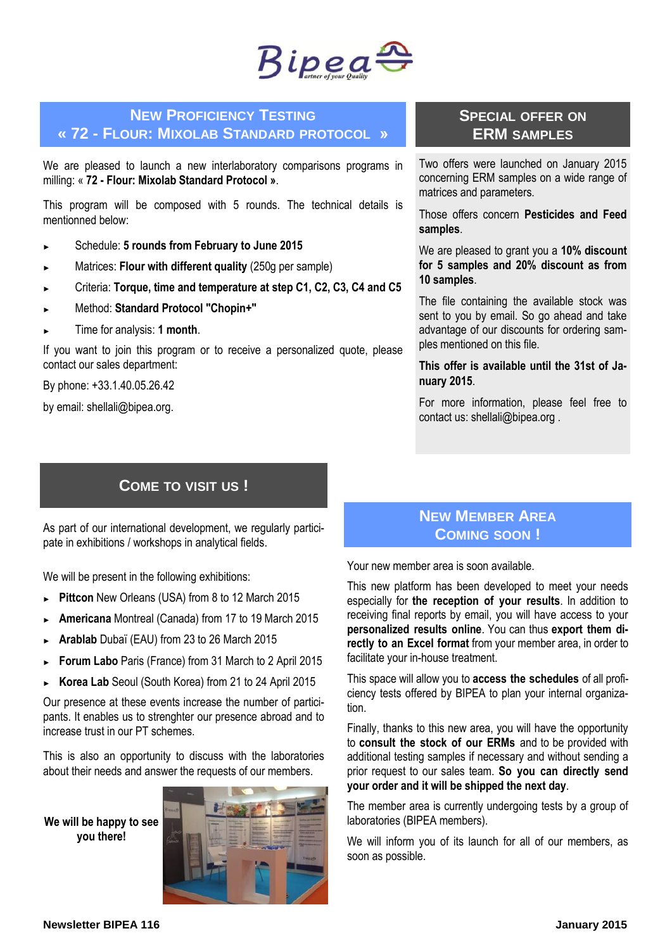

### **NEW PROFICIENCY TESTING « 72 - FLOUR: MIXOLAB STANDARD PROTOCOL »**

We are pleased to launch a new interlaboratory comparisons programs in milling: « **72 - Flour: Mixolab Standard Protocol »**.

This program will be composed with 5 rounds. The technical details is mentionned below:

- ► Schedule: **5 rounds from February to June 2015**
- Matrices: **Flour with different quality** (250g per sample)
- ► Criteria: **Torque, time and temperature at step C1, C2, C3, C4 and C5**
- ► Method: **Standard Protocol "Chopin+"**
- ► Time for analysis: **1 month**.

If you want to join this program or to receive a personalized quote, please contact our sales department:

By phone: +33.1.40.05.26.42

by email: shellali@bipea.org.

# **COME TO VISIT US !**

As part of our international development, we regularly participate in exhibitions / workshops in analytical fields.

We will be present in the following exhibitions:

- ► **Pittcon** New Orleans (USA) from 8 to 12 March 2015
- ► **Americana** Montreal (Canada) from 17 to 19 March 2015
- ► **Arablab** Dubaï (EAU) from 23 to 26 March 2015
- ► **Forum Labo** Paris (France) from 31 March to 2 April 2015
- ► **Korea Lab** Seoul (South Korea) from 21 to 24 April 2015

Our presence at these events increase the number of participants. It enables us to strenghter our presence abroad and to increase trust in our PT schemes.

This is also an opportunity to discuss with the laboratories about their needs and answer the requests of our members.

**We will be happy to see you there!**



### **SPECIAL OFFER ON ERM SAMPLES**

Two offers were launched on January 2015 concerning ERM samples on a wide range of matrices and parameters.

Those offers concern **Pesticides and Feed samples**.

We are pleased to grant you a **10% discount for 5 samples and 20% discount as from 10 samples**.

The file containing the available stock was sent to you by email. So go ahead and take advantage of our discounts for ordering samples mentioned on this file.

**This offer is available until the 31st of January 2015**.

For more information, please feel free to contact us: shellali@bipea.org .

# **NEW MEMBER AREA COMING SOON !**

Your new member area is soon available.

This new platform has been developed to meet your needs especially for **the reception of your results**. In addition to receiving final reports by email, you will have access to your **personalized results online**. You can thus **export them directly to an Excel format** from your member area, in order to facilitate your in-house treatment.

This space will allow you to **access the schedules** of all proficiency tests offered by BIPEA to plan your internal organization.

Finally, thanks to this new area, you will have the opportunity to **consult the stock of our ERMs** and to be provided with additional testing samples if necessary and without sending a prior request to our sales team. **So you can directly send your order and it will be shipped the next day**.

The member area is currently undergoing tests by a group of laboratories (BIPEA members).

We will inform you of its launch for all of our members, as soon as possible.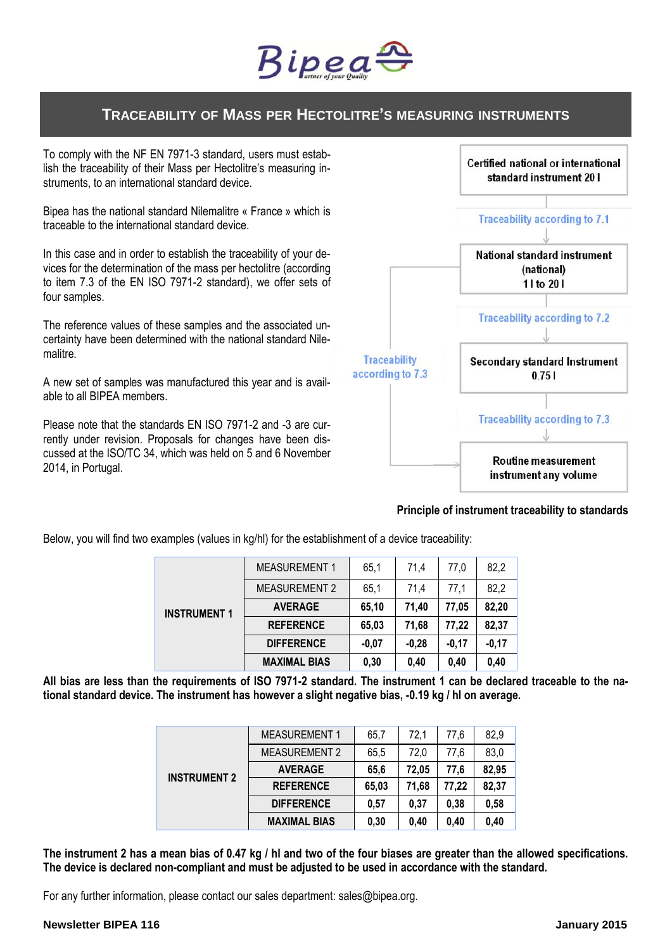

# **TRACEABILITY OF MASS PER HECTOLITRE'S MEASURING INSTRUMENTS**

To comply with the NF EN 7971-3 standard, users must establish the traceability of their Mass per Hectolitre's measuring instruments, to an international standard device.

Bipea has the national standard Nilemalitre « France » which is traceable to the international standard device.

In this case and in order to establish the traceability of your devices for the determination of the mass per hectolitre (according to item 7.3 of the EN ISO 7971-2 standard), we offer sets of four samples.

The reference values of these samples and the associated uncertainty have been determined with the national standard Nilemalitre.

A new set of samples was manufactured this year and is available to all BIPEA members.

Please note that the standards EN ISO 7971-2 and -3 are currently under revision. Proposals for changes have been discussed at the ISO/TC 34, which was held on 5 and 6 November 2014, in Portugal.



#### **Principle of instrument traceability to standards**

Below, you will find two examples (values in kg/hl) for the establishment of a device traceability:

| <b>INSTRUMENT 1</b> | <b>MEASUREMENT 1</b> | 65.1    | 71,4    | 77,0    | 82,2    |
|---------------------|----------------------|---------|---------|---------|---------|
|                     | <b>MEASUREMENT 2</b> | 65.1    | 71.4    | 77.1    | 82,2    |
|                     | <b>AVERAGE</b>       | 65.10   | 71.40   | 77.05   | 82,20   |
|                     | <b>REFERENCE</b>     | 65,03   | 71,68   | 77,22   | 82,37   |
|                     | <b>DIFFERENCE</b>    | $-0.07$ | $-0.28$ | $-0.17$ | $-0,17$ |
|                     | <b>MAXIMAL BIAS</b>  | 0,30    | 0,40    | 0.40    | 0.40    |

**All bias are less than the requirements of ISO 7971-2 standard. The instrument 1 can be declared traceable to the national standard device. The instrument has however a slight negative bias, -0.19 kg / hl on average.** 

| <b>INSTRUMENT 2</b> | <b>MEASUREMENT 1</b> | 65.7  | 72.1  | 77.6  | 82,9  |
|---------------------|----------------------|-------|-------|-------|-------|
|                     | <b>MEASUREMENT 2</b> | 65,5  | 72.0  | 77.6  | 83,0  |
|                     | <b>AVERAGE</b>       | 65,6  | 72.05 | 77.6  | 82,95 |
|                     | <b>REFERENCE</b>     | 65.03 | 71,68 | 77,22 | 82,37 |
|                     | <b>DIFFERENCE</b>    | 0.57  | 0.37  | 0,38  | 0,58  |
|                     | <b>MAXIMAL BIAS</b>  | 0,30  | 0.40  | 0,40  | 0.40  |

**The instrument 2 has a mean bias of 0.47 kg / hl and two of the four biases are greater than the allowed specifications. The device is declared non-compliant and must be adjusted to be used in accordance with the standard.**

For any further information, please contact our sales department: sales@bipea.org.

#### **Newsletter BIPEA 116 January 2015**